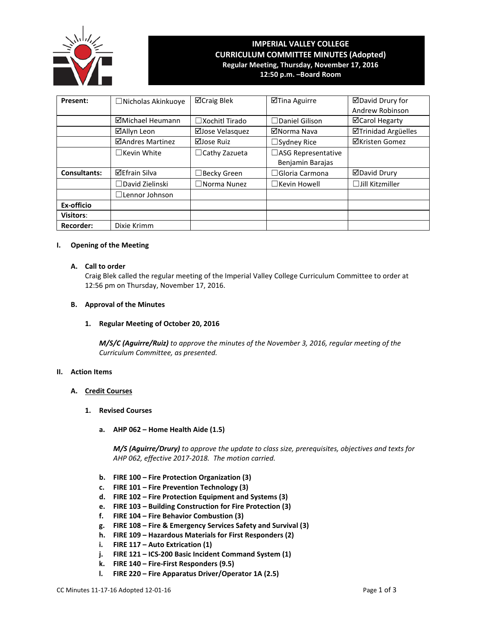

# **IMPERIAL VALLEY COLLEGE CURRICULUM COMMITTEE MINUTES (Adopted) Regular Meeting, Thursday, November 17, 2016**

**12:50 p.m. –Board Room**

| Present:            | $\Box$ Nicholas Akinkuoye | ⊠Craig Blek              | ⊠Tina Aguirre         | ⊠David Drury for           |
|---------------------|---------------------------|--------------------------|-----------------------|----------------------------|
|                     |                           |                          |                       | Andrew Robinson            |
|                     | ⊠Michael Heumann          | $\square$ Xochitl Tirado | $\Box$ Daniel Gilison | <b>⊠Carol Hegarty</b>      |
|                     | ⊠Allyn Leon               | ⊠Jose Velasquez          | ⊠Norma Nava           | <b>ØTrinidad Argüelles</b> |
|                     | ⊠Andres Martinez          | ⊠Jose Ruiz               | $\Box$ Sydney Rice    | ⊠Kristen Gomez             |
|                     | $\Box$ Kevin White        | $\Box$ Cathy Zazueta     | □ASG Representative   |                            |
|                     |                           |                          | Benjamin Barajas      |                            |
| <b>Consultants:</b> | <b>⊠Efrain Silva</b>      | $\Box$ Becky Green       | $\Box$ Gloria Carmona | ⊠David Drury               |
|                     | $\Box$ David Zielinski    | $\square$ Norma Nunez    | $\Box$ Kevin Howell   | $\Box$ Jill Kitzmiller     |
|                     | $\Box$ Lennor Johnson     |                          |                       |                            |
| Ex-officio          |                           |                          |                       |                            |
| <b>Visitors:</b>    |                           |                          |                       |                            |
| <b>Recorder:</b>    | Dixie Krimm               |                          |                       |                            |

## **I. Opening of the Meeting**

# **A. Call to order**

Craig Blek called the regular meeting of the Imperial Valley College Curriculum Committee to order at 12:56 pm on Thursday, November 17, 2016.

# **B. Approval of the Minutes**

# **1. Regular Meeting of October 20, 2016**

*M/S/C (Aguirre/Ruiz) to approve the minutes of the November 3, 2016, regular meeting of the Curriculum Committee, as presented.* 

# **II. Action Items**

#### **A. Credit Courses**

#### **1. Revised Courses**

**a. AHP 062 – Home Health Aide (1.5)**

*M/S (Aguirre/Drury) to approve the update to class size, prerequisites, objectives and texts for AHP 062, effective 2017-2018. The motion carried.*

- **b. FIRE 100 – Fire Protection Organization (3)**
- **c. FIRE 101 – Fire Prevention Technology (3)**
- **d. FIRE 102 – Fire Protection Equipment and Systems (3)**
- **e. FIRE 103 – Building Construction for Fire Protection (3)**
- **f. FIRE 104 – Fire Behavior Combustion (3)**
- **g. FIRE 108 – Fire & Emergency Services Safety and Survival (3)**
- **h. FIRE 109 – Hazardous Materials for First Responders (2)**
- **i. FIRE 117 – Auto Extrication (1)**
- **j. FIRE 121 – ICS-200 Basic Incident Command System (1)**
- **k. FIRE 140 – Fire-First Responders (9.5)**
- **l. FIRE 220 – Fire Apparatus Driver/Operator 1A (2.5)**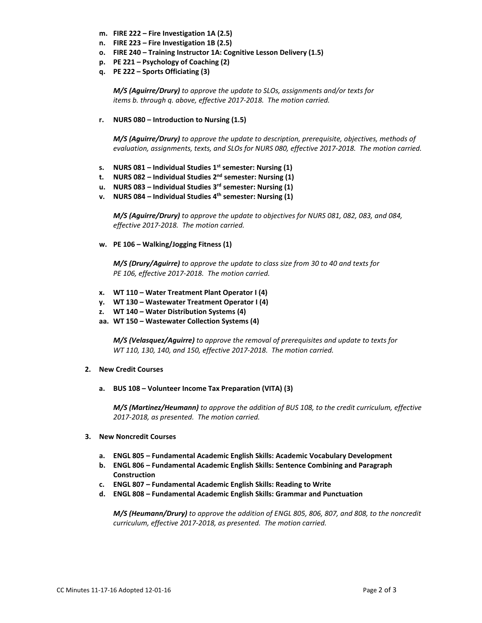- **m. FIRE 222 – Fire Investigation 1A (2.5)**
- **n. FIRE 223 – Fire Investigation 1B (2.5)**
- **o. FIRE 240 – Training Instructor 1A: Cognitive Lesson Delivery (1.5)**
- **p. PE 221 – Psychology of Coaching (2)**
- **q. PE 222 – Sports Officiating (3)**

*M/S (Aguirre/Drury) to approve the update to SLOs, assignments and/or texts for items b. through q. above, effective 2017-2018. The motion carried.*

**r. NURS 080 – Introduction to Nursing (1.5)**

*M/S (Aguirre/Drury) to approve the update to description, prerequisite, objectives, methods of evaluation, assignments, texts, and SLOs for NURS 080, effective 2017-2018. The motion carried.*

- **s. NURS 081 – Individual Studies 1st semester: Nursing (1)**
- **t. NURS 082 – Individual Studies 2nd semester: Nursing (1)**
- **u. NURS 083 – Individual Studies 3rd semester: Nursing (1)**
- **v. NURS 084 – Individual Studies 4th semester: Nursing (1)**

*M/S (Aguirre/Drury) to approve the update to objectives for NURS 081, 082, 083, and 084, effective 2017-2018. The motion carried.*

**w. PE 106 – Walking/Jogging Fitness (1)**

*M/S (Drury/Aguirre) to approve the update to class size from 30 to 40 and texts for PE 106, effective 2017-2018. The motion carried.*

- **x. WT 110 – Water Treatment Plant Operator I (4)**
- **y. WT 130 – Wastewater Treatment Operator I (4)**
- **z. WT 140 – Water Distribution Systems (4)**
- **aa. WT 150 – Wastewater Collection Systems (4)**

*M/S (Velasquez/Aguirre) to approve the removal of prerequisites and update to texts for WT 110, 130, 140, and 150, effective 2017-2018. The motion carried.*

#### **2. New Credit Courses**

**a. BUS 108 – Volunteer Income Tax Preparation (VITA) (3)**

*M/S (Martinez/Heumann) to approve the addition of BUS 108, to the credit curriculum, effective 2017-2018, as presented. The motion carried.*

- **3. New Noncredit Courses**
	- **a. ENGL 805 – Fundamental Academic English Skills: Academic Vocabulary Development**
	- **b. ENGL 806 – Fundamental Academic English Skills: Sentence Combining and Paragraph Construction**
	- **c. ENGL 807 – Fundamental Academic English Skills: Reading to Write**
	- **d. ENGL 808 – Fundamental Academic English Skills: Grammar and Punctuation**

*M/S (Heumann/Drury) to approve the addition of ENGL 805, 806, 807, and 808, to the noncredit curriculum, effective 2017-2018, as presented. The motion carried.*